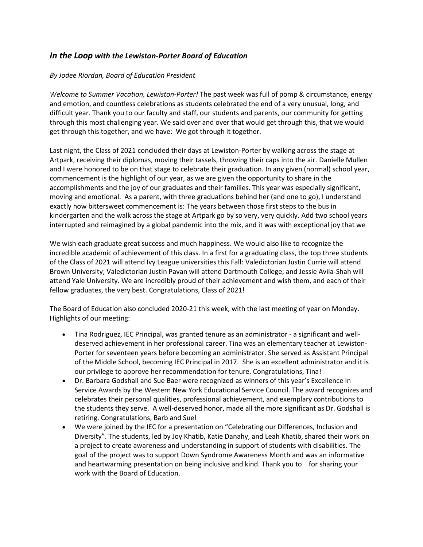## *In the Loop with the Lewiston-Porter Board of Education*

## *By Jodee Riordan, Board of Education President*

*Welcome to Summer Vacation, Lewiston-Porter!* The past week was full of pomp & circumstance, energy and emotion, and countless celebrations as students celebrated the end of a very unusual, long, and difficult year. Thank you to our faculty and staff, our students and parents, our community for getting through this most challenging year. We said over and over that would get through this, that we would get through this together, and we have: We got through it together.

Last night, the Class of 2021 concluded their days at Lewiston-Porter by walking across the stage at Artpark, receiving their diplomas, moving their tassels, throwing their caps into the air. Danielle Mullen and I were honored to be on that stage to celebrate their graduation. In any given (normal) school year, commencement is the highlight of our year, as we are given the opportunity to share in the accomplishments and the joy of our graduates and their families. This year was especially significant, moving and emotional. As a parent, with three graduations behind her (and one to go), I understand exactly how bittersweet commencement is: The years between those first steps to the bus in kindergarten and the walk across the stage at Artpark go by so very, very quickly. Add two school years interrupted and reimagined by a global pandemic into the mix, and it was with exceptional joy that we

We wish each graduate great success and much happiness. We would also like to recognize the incredible academic of achievement of this class. In a first for a graduating class, the top three students of the Class of 2021 will attend Ivy League universities this Fall: Valedictorian Justin Currie will attend Brown University; Valedictorian Justin Pavan will attend Dartmouth College; and Jessie Avila-Shah will attend Yale University. We are incredibly proud of their achievement and wish them, and each of their fellow graduates, the very best. Congratulations, Class of 2021!

The Board of Education also concluded 2020-21 this week, with the last meeting of year on Monday. Highlights of our meeting:

- Tina Rodriguez, IEC Principal, was granted tenure as an administrator a significant and welldeserved achievement in her professional career. Tina was an elementary teacher at Lewiston-Porter for seventeen years before becoming an administrator. She served as Assistant Principal of the Middle School, becoming IEC Principal in 2017. She is an excellent administrator and it is our privilege to approve her recommendation for tenure. Congratulations, Tina!
- Dr. Barbara Godshall and Sue Baer were recognized as winners of this year's Excellence in Service Awards by the Western New York Educational Service Council. The award recognizes and celebrates their personal qualities, professional achievement, and exemplary contributions to the students they serve. A well-deserved honor, made all the more significant as Dr. Godshall is retiring. Congratulations, Barb and Sue!
- We were joined by the IEC for a presentation on "Celebrating our Differences, Inclusion and Diversity". The students, led by Joy Khatib, Katie Danahy, and Leah Khatib, shared their work on a project to create awareness and understanding in support of students with disabilities. The goal of the project was to support Down Syndrome Awareness Month and was an informative and heartwarming presentation on being inclusive and kind. Thank you to for sharing your work with the Board of Education.